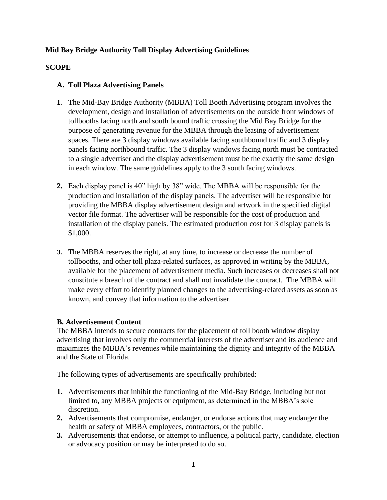# **Mid Bay Bridge Authority Toll Display Advertising Guidelines**

## **SCOPE**

## **A. Toll Plaza Advertising Panels**

- **1.** The Mid-Bay Bridge Authority (MBBA) Toll Booth Advertising program involves the development, design and installation of advertisements on the outside front windows of tollbooths facing north and south bound traffic crossing the Mid Bay Bridge for the purpose of generating revenue for the MBBA through the leasing of advertisement spaces. There are 3 display windows available facing southbound traffic and 3 display panels facing northbound traffic. The 3 display windows facing north must be contracted to a single advertiser and the display advertisement must be the exactly the same design in each window. The same guidelines apply to the 3 south facing windows.
- **2.** Each display panel is 40" high by 38" wide. The MBBA will be responsible for the production and installation of the display panels. The advertiser will be responsible for providing the MBBA display advertisement design and artwork in the specified digital vector file format. The advertiser will be responsible for the cost of production and installation of the display panels. The estimated production cost for 3 display panels is \$1,000.
- **3.** The MBBA reserves the right, at any time, to increase or decrease the number of tollbooths, and other toll plaza-related surfaces, as approved in writing by the MBBA, available for the placement of advertisement media. Such increases or decreases shall not constitute a breach of the contract and shall not invalidate the contract. The MBBA will make every effort to identify planned changes to the advertising-related assets as soon as known, and convey that information to the advertiser.

### **B. Advertisement Content**

The MBBA intends to secure contracts for the placement of toll booth window display advertising that involves only the commercial interests of the advertiser and its audience and maximizes the MBBA's revenues while maintaining the dignity and integrity of the MBBA and the State of Florida.

The following types of advertisements are specifically prohibited:

- **1.** Advertisements that inhibit the functioning of the Mid-Bay Bridge, including but not limited to, any MBBA projects or equipment, as determined in the MBBA's sole discretion.
- **2.** Advertisements that compromise, endanger, or endorse actions that may endanger the health or safety of MBBA employees, contractors, or the public.
- **3.** Advertisements that endorse, or attempt to influence, a political party, candidate, election or advocacy position or may be interpreted to do so.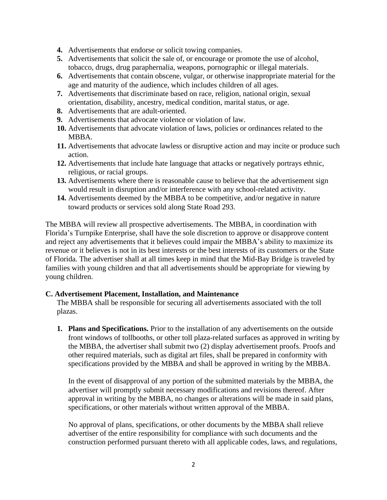- **4.** Advertisements that endorse or solicit towing companies.
- **5.** Advertisements that solicit the sale of, or encourage or promote the use of alcohol, tobacco, drugs, drug paraphernalia, weapons, pornographic or illegal materials.
- **6.** Advertisements that contain obscene, vulgar, or otherwise inappropriate material for the age and maturity of the audience, which includes children of all ages.
- **7.** Advertisements that discriminate based on race, religion, national origin, sexual orientation, disability, ancestry, medical condition, marital status, or age.
- **8.** Advertisements that are adult-oriented.
- **9.** Advertisements that advocate violence or violation of law.
- **10.** Advertisements that advocate violation of laws, policies or ordinances related to the MBBA.
- **11.** Advertisements that advocate lawless or disruptive action and may incite or produce such action.
- **12.** Advertisements that include hate language that attacks or negatively portrays ethnic, religious, or racial groups.
- **13.** Advertisements where there is reasonable cause to believe that the advertisement sign would result in disruption and/or interference with any school-related activity.
- **14.** Advertisements deemed by the MBBA to be competitive, and/or negative in nature toward products or services sold along State Road 293.

The MBBA will review all prospective advertisements. The MBBA, in coordination with Florida's Turnpike Enterprise, shall have the sole discretion to approve or disapprove content and reject any advertisements that it believes could impair the MBBA's ability to maximize its revenue or it believes is not in its best interests or the best interests of its customers or the State of Florida. The advertiser shall at all times keep in mind that the Mid-Bay Bridge is traveled by families with young children and that all advertisements should be appropriate for viewing by young children.

### **C. Advertisement Placement, Installation, and Maintenance**

The MBBA shall be responsible for securing all advertisements associated with the toll plazas.

**1. Plans and Specifications.** Prior to the installation of any advertisements on the outside front windows of tollbooths, or other toll plaza-related surfaces as approved in writing by the MBBA, the advertiser shall submit two (2) display advertisement proofs. Proofs and other required materials, such as digital art files, shall be prepared in conformity with specifications provided by the MBBA and shall be approved in writing by the MBBA.

In the event of disapproval of any portion of the submitted materials by the MBBA, the advertiser will promptly submit necessary modifications and revisions thereof. After approval in writing by the MBBA, no changes or alterations will be made in said plans, specifications, or other materials without written approval of the MBBA.

No approval of plans, specifications, or other documents by the MBBA shall relieve advertiser of the entire responsibility for compliance with such documents and the construction performed pursuant thereto with all applicable codes, laws, and regulations,